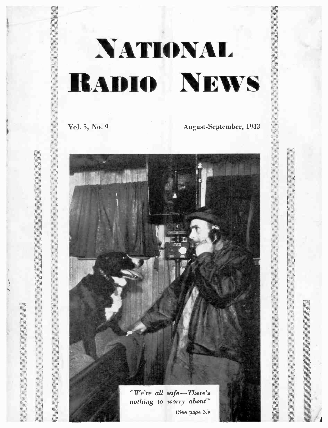# NATIONAL **RADIO NEWS**

Vol. 5, No 9 August-September, 1933

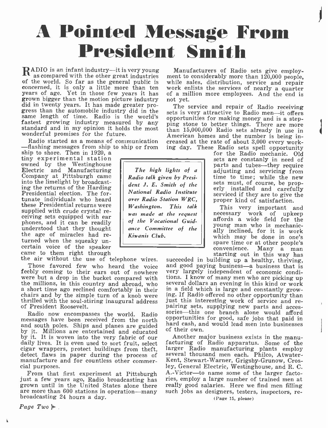## A Pointed Message From President Smith

 $\mathbf{R}^\text{ADIO}$  is an infant industry—it is very young a Manufacturers of Radio sets give employ-<br>as compared with the other great industries ment to considerably more than 120,000 people, of the world. So far as the general public is concerned, it is only a little more than ten work enlists the services of nearly a quarter<br>years of age. Yet in those few years it has of a million more employees. And the end is years of age. Yet in those few years it has grown bigger than the motion picture industry did in twenty years. It has made greater progress than the automobile industry did in the gress than the automobile industry did in the sets fastest growing industry measured by any pintostandard and in my opinion it holds the most that wonderful promises for the future.

Radio started as a means of communication -flashing messages from ship to ship or from

ship to shore. Then in 1920, a tiny experimental station Electric and Manufacturing<br>Company at Pittsburgh came<br>into the limelight by broadcast-<br>ing the returns of the Harding Presidential election. The fortunate individuals who heard these Presidential returns were<br>supplied with crude crystal re-<br>ceiving sets equipped with ear<br>phones, and it can be readily phones and the readily the age of miracles had re-<br>turned when the squeaky un-<br>certain voice of the speaker

Those favored few who heard the voice<br>feebly coming to their ears out of nowhere were but a drop in the bucket compared with tions. I know of many men who are picking up<br>the millions, in this country and abroad, who several dollars an evening in this kind or work<br>a short time ago reclined comfortably i of President Roosevelt.

messages have been received from the north opportunities for good, safe jobs that paid in and south poles. Ships and planes are guided and south and would lead men into businesses and south poles. Ships and planes are guided has by it. Millions are entertained and educated of by it. It is woven into the very fabric of our daily lives. It is even used to sort fruit, select factors daily lives. It is even used to sort fruit, select cigar wrappers, protect buildings from theft, detect flaws in paper during the process of manufacture and for countless other commer- cial purposes.

From that first experiment at Pittsburgh  $A.-Victor$ —to name some of the larger facto-<br>just a few years ago, Radio broadcasting has ries, employ a large number of trained men at<br>grown until in the United States alone there re grown until in the United States alone there are more than 600 stations in operation -many broadcasting 24 hours a day.

Page  $Two$   $\blacktriangleright$ .

1

The high lights of a Radio talk given by President J. E. Smith of the National Radio Institute over Radio Station WRC, Washington. This talk was made at the request of the Vocational Guid- ance Committee of the Kiwanis Club.

while sales, distribution, service and repair work enlists the services of nearly a quarter not yet.

The service and repair of Radio receiving<br>sets is very attractive to Radio men—it offers<br>opportunities for making money and is a stepping stone to better things. There are more<br>than 15,000,000 Radio sets already in use in American homes and the number is being increased at the rate of about 3,000 every work-

ing day. These Radio sets spell opportunity for the Radio mechanic. Old sets are constanly in need of<br>parts and tubes—they require adjusting and servicing from<br>time to time; while the new sets must, of course, be prop-<br>erly installed and carefully<br>serviced if they are to give the proper kind of satisfaction.

> This very important and necessary work of upkeep<br>affords a wide field for the young man who is mechanically inclined, for it is work which may be done in one's<br>spare time or at other people's convenience. Many a man starting out in this way has

came to them right through the speaker came to them right through<br>the air without the use of telephone wires. succeeded in building up a healthy, thriving,<br>Those favored few who heard the voice and good paying business—a b Radio now encompasses the world. Radio sories—this one branch alone would afford<br>essages have been received from the north opportunities for good, safe jobs that paid in succeeded in building up a healthy, thriving, very largely independent of economic condiin a field which is large and constantly grow-<br>ing. If Radio offered no other opportunity than<br>just this interesting work of service and re-<br>pairing sets, supplying new parts and acces-<br>sories—this one branch alone would a

> Another major business exists in the manu-<br>facturing of Radio apparatus. Some of the<br>larger Radio manufacturing plants employ<br>several thousand men each. Philco, Atwater-<br>Kent, Stewart-Warner, Grigsby-Grunow, Crosley, General Electric, Westinghouse, and R. C. A.-Victor-to name some of the larger factories, employ a large number of trained men at such jobs as designers, testers, inspectors, re-

(Page 15, please)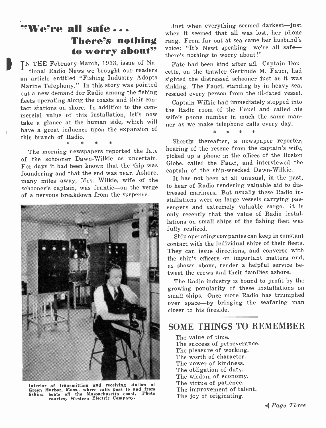# to worry about"

IN THE February-March, 1933, issue of National Radio News we brought our readers an article entitled "Fishing Industry Adopts Marine Telephony." In this story was pointed out a new demand for Radio among the fishing fleets operating along the coasts and their con tact stations on shore. In addition to the com- mercial value of this installation, let's now take a glance at the human side, which will have a great influence upon the expansion of this branch of Radio.

The morning newspapers reported the fate of the schooner Dawn -Wilkie as uncertain. For days it had been known that the ship was foundering and that the end was near. Ashore, many miles away, Mrs. Wilkie, wife of the schooner's captain, was frantic-on the verge of a nervous breakdown from the suspense.



Interior of transmitting and receiving station at Green Harbor, Mass., where calls pass to and from fishing boats off the Massachusetts coast. Photo courtesy Western Electric Company.

**EXECTE all safe...** Just when everything seemed darkest-just<br>when it seemed that all was lost, her phone<br>**There's nothing** rang. From far out at sea came her husband's<br>voice: "It's Newt speaking--we're all safe-Just when everything seemed darkest-just when it seemed that all was lost, her phone when it seemed that an was lost, her process<br>rang. From far out at sea came her husband's<br>voice: "It's Newt speaking—we're all safe there's nothing to worry about!"

> Fate had been kind after all. Captain Doucette, on the trawler Gertrude M. Fauci, had sighted the distressed schooner just as it was sinking. The Fauci, standing by in heavy sea, rescued every person from the ill-fated vessel.

> Captain Wilkie had immediately stepped into the Radio room of the Fauci and called his wife's phone number in much the same man ner as we make telephone calls every day.

> > \* \* \* \*

Shortly thereafter, a newspaper reporter, hearing of the rescue from the captain's wife, picked up a phone in the offices of the Boston Globe, called the Fauci, and interviewed the captain of the ship-wrecked Dawn-Wilkie.

It has not been at all unusual, in the past, to hear of Radio rendering valuable aid to distressed mariners. But usually these Radio installations were on large vessels carrying passengers and extremely valuable cargo. It is only recently that the value of Radio installations on small ships of the fishing fleet was fully realized.

Ship operating companies can keep in constant contact with the individual ships of their fleets. They can issue directions, and converse with the ship's officers on important matters and, as shown above, render a helpful service betweet the crews and their families ashore.

The Radio industry is bound to profit by the growing popularity of these installations on small ships. Once more Radio has triumphed over space-by bringing the seafaring man closer to his fireside.

## SOME THINGS TO REMEMBER

The value of time. The success of perseverance. The pleasure of working. The worth of character. The power of kindness. The obligation of duty. The wisdom of economy. The virtue of patience. The improvement of talent. The joy of originating.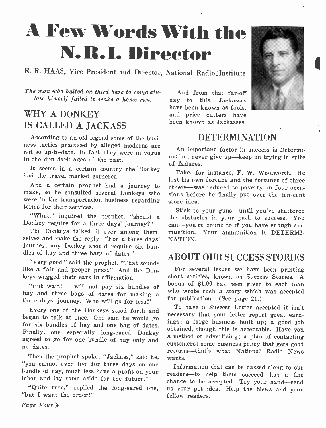## A Few Words With the N. R.I. Director

## E. R. HAAS, Vice President and Director, National Radio :Institute

The man who halted on third base to congratu- late himself failed to make a home run.

## WHY A DONKEY IS CALLED A JACKASS

According to an old legend some of the busi- ness tactics practiced by alleged moderns are not so up -to -date. In fact, they were in vogue in the dim dark ages of the past.

It seems in a certain country the Donkey had the travel market cornered.

make, so he consulted several Donkeys who were in the transportation business regarding terms for their services.

The Donkeys talked it over among them-<br>selves and make the reply: "For a three days" journey, any Donkey should require six bundles of hay and three bags of dates."

"Very good," said the prophet. "That sounds like a fair and proper price." And the Donkeys wagged their ears in affirmation.

"But wait! I will not pay six bundles of hay and three bags of dates for making a three days' journey. Who will go for less?"

Every one of the Donkeys stood forth and began to talk at once. One said he would go for six bundles of hay and one bag of dates. Finally, one especially long-eared Donkey agreed to go for one bundle of hay only and no dates.

Then the prophet spoke: "Jackass," said he, "you cannot even live for three days on one bundle of hay, much less have a profit on your

"Quite true," replied the long-eared one, "but I want the order!"

And from that far-off day to this, Jackasses have been known as fools, and price cutters have been known as Jackasses.



An important factor in success is Determination, never give up—keep on trying in spite of failures.

And a certain prophet had a journey to others—was reduced to poverty on four occa-Take, for instance, F. W. Woolworth. He lost his own fortune and the fortunes of three sions before he finally put over the ten-cent store idea.

"What," inquired the prophet, "should a the obstacles in your path to success. You<br>Donkey require for a three days' journey?" can—you're bound to if you have enough am-Stick to your guns—until you've shattered the obstacles in your path to success. You can—you're bound to if you have enough am-<br>munition. Your ammunition is DETERMI-NATION.

## ABOUT OUR SUCCESS STORIES

For several issues we have been printing short articles, known as Success Stories. A bonus of \$1.00 has been given to each man who wrote such a story which was accepted for publication. (See page 21.)

To have a Success Letter accepted it isn't necessary that your letter report great earnings; a large business built up; a good job obtained, though this is acceptable. Have you a method of advertising; a plan of contacting customers; some business policy that gets good returns-that's what National Radio News wants.

labor and lay some aside for the future." chance to be accepted. Try your hand—send Information that can be passed along to our readers-to help them succeed-has a fine us your pet idea. Help the News and your fellow readers.

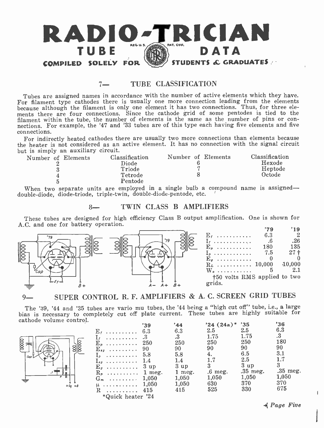

#### 7<sup>-</sup> TURE CLASSIFICATION

Tubes are assigned names in accordance with the number of active elements which they have. For filament type cathodes there is usually one more connection leading from the elements because although the filament is only one element it has two connections. Thus, for three elements there are four connections. Since the cathode grid of some pentodes is tied to the filament within the tube, the number of elements is the same as the number of pins or confilament with the tube of the number of the number of pins or con-<br>nections. For example, the '47 and '33 tubes are of this type each having five elements and five connections.

For indirectly heated cathodes there are usually two more connections than elements because the heater is not considered as an active element. It has no connection with the signal circuit but is simply an auxiliary circuit.<br>Number of Elements Class

|  | Number of Elements | Classification<br>Diode<br>Triode<br>Tetrode<br>Pentode |  | Number of Elements | Classification<br>Hexode<br>Heptode<br>Octode |
|--|--------------------|---------------------------------------------------------|--|--------------------|-----------------------------------------------|
|  |                    |                                                         |  |                    |                                               |

When two separate units are employed in a single bulb a compound name is assigned double-diode, diode-triode, triple-twin, double-diode-pentode, etc.

#### 8- TWIN CLASS B AMPLIFIERS

These tubes are designed for high efficiency Class B output amplification. One is shown for A.C. and one for battery operation.



9- SUPER CONTROL R. F. AMPLIFIERS & A. C. SCREEN GRID TUBES

The '39, '44 and '35 tubes are vario mu tubes, the '44 being a "high cut off" tube, i.e., a large bias is necessary to completely cut off plate current. These tubes are highly suitable for cathode volume control.

| 8800<br>88<br>$\mathcal{C}\!a\boldsymbol{\rho}$<br>R<br>$+ \theta$<br>$+ \overset{\circ}{sq}$ |
|-----------------------------------------------------------------------------------------------|
|-----------------------------------------------------------------------------------------------|

|                                                                      | '39 | '44    | $24 (24a)^*$ '35 |                 | '36        |
|----------------------------------------------------------------------|-----|--------|------------------|-----------------|------------|
| $E_t$                                                                | 6.3 | 6.3    | 2.5              | 2.5             | 6.3        |
| . 3<br>I <sub>f</sub>                                                |     | .3     | 1.75             | 1.75            | .3         |
| $E_p$                                                                | 250 | 250    | 250              | 250             | 180        |
| $\mathbf{E}_{\boldsymbol{\mathfrak{s}}\boldsymbol{\mathfrak{s}}}$ 90 |     | 90     | 90               | 90              | 90         |
| $I_p$ 5.8                                                            |     | 5.8    | 4.               | 6.5             | 3.1        |
| $I_{sa}$ 1.4                                                         |     | 1.4    | 1.7              | 2.5             | 1.7        |
| $\mathbf{E}_q$ 3 up                                                  |     | 3 up   | 3                | 3 <sub>up</sub> |            |
| $R_p$ 1 meg.                                                         |     | 1 meg. | $.6$ meg.        | $.35$ meg.      | $.35$ meg. |
| $G_m$ 1,050                                                          |     | 1.050  | 1,050            | 1,050           | 1,050      |
| $\mu$ 1,050                                                          |     | 1,050  | 630              | 370             | 370        |
| $\mathbb{R}$<br>.                                                    | 415 | 415    | 525              | 330             | 675        |
| *Quick heater '24                                                    |     |        |                  |                 |            |

.4 Page Five

 $\mathbf{I}$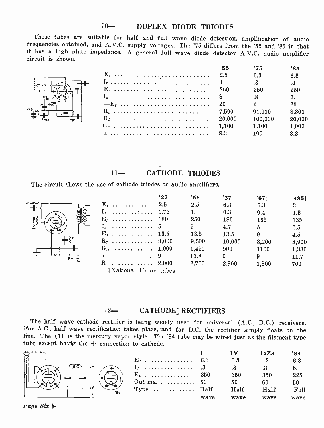#### 10- DUPLEX DIODE TRIODES

These tabes are suitable for half and full wave diode detection, amplification of audio frequencies obtained, and A.V.C. supply voltages. The '75 differs from the '55 and '85 in that it has a high plate impedance. A general full wave diode detector A.V.C. audio amplifier circuit is shown.

|   |           | '55    | '75     | '85    |
|---|-----------|--------|---------|--------|
|   | $E_t$     | 2.5    | 6.3     | 6.3    |
| ⊩ |           |        | .3      | .4     |
|   | $E_{\nu}$ | 250    | 250     | 250    |
|   | $I_p$     | -8     | .8      | 7.     |
|   | $-Eo$     | 20     |         | 20     |
|   | $R_p$     | 7.500  | 91,000  | 8.300  |
|   | $R_L$     | 20,000 | 100,000 | 20,000 |
|   |           | 1.100  | 1.100   | 1.000  |
|   |           | 8.3    | 100     | 8.3    |

### 11- CATHODE TRIODES

The circuit shows the use of cathode triodes as audio amplifiers.



|                       | '27 | 356   | '37    | '67 <sub>1</sub> | 4851  |  |
|-----------------------|-----|-------|--------|------------------|-------|--|
| $E_t$ 2.5             |     | 2.5   | 6.3    | 6.3              | 3     |  |
| $I_t$ 1.75            |     | 1.    | 0.3    | 0.4              | 1.3   |  |
| $\mathbf{E}_p$ 180    |     | 250   | 180    | 135              | 135   |  |
| $I_p$ 5               |     | 5     | 4.7    | 5                | 6.5   |  |
| $E_{\ell}$ 13.5       |     | 13.5  | 13.5   | 9                | 4.5   |  |
| $R_p$ 9,000           |     | 9,500 | 10,000 | 8.200            | 8,900 |  |
| $G_m$ 1,000           |     | 1,450 | 900    | 1100             | 1,330 |  |
| <u>119</u>            |     | 13.8  | 9.     | 9                | 11.7  |  |
| R $2,000$             |     | 2,700 | 2,800  | 1,800            | 700   |  |
| tNational Hnion tubes |     |       |        |                  |       |  |

\$National Union tubes.

#### 12- CATHODE' RECTIFIERS

The half wave cathode rectifier is being widely used for universal (A.C., D.C.) receivers. For A.C., half wave rectification takes place, and for D.C. the rectifier simply floats on the line. The (1) is the mercury vapor style. The '84 tube may be wired just as the filament type tube except havig the  $+$  connection to cathode.

| A, C, D, C |                                   |      |      | 12Z3    |         |
|------------|-----------------------------------|------|------|---------|---------|
|            | $E_1$ 6.3                         |      |      |         | $6.3\,$ |
|            | $I_t$ 3                           |      |      |         |         |
|            | $E_{\nu}$ 350                     |      | 350  | 350     | 225     |
|            | Out ma. $\ldots \ldots \ldots 50$ |      | 50   |         | 50      |
| 'в4        | Type $\dots\dots\dots\dots$ Half  |      | Half | $H$ alf | Full    |
|            |                                   | wave | wave | wave    | wave    |

Page Six  $\mathbb{L}$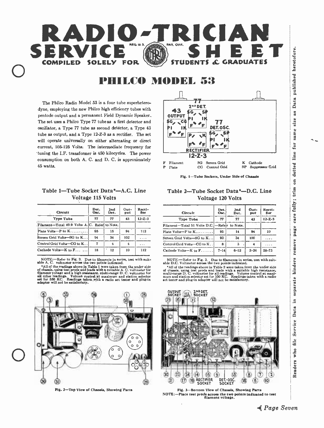

## PHILCO MODEL 53

The Philco Radio Model 53 is a four tube superheterodyne, employing the new Philco high efficiency tubes with pentode output and a permanent Field Dynamic Speaker.. The set uses a Philco Type 77 tube as a first detector and oscillator, a Type 77 tube as second detector, a Type 43 tube as output, and a Type 12-Z -3 as a rectifier. The set will operate universally on either alternating or direct current, 105-125 Volta: The intermediate frequency for 'tuning the I.F. transformer is 450 kilocycles. The power consumption on both A. C. and D. C. is approximately 45 watts.

#### Table 1-Tube Socket Data\*-A.C. Line Voltage 115 Volts

| <b>Circuit</b>                                | Det.<br>Oac. | 2nd<br>Det. | Out-<br>put | Recti-<br>fler |
|-----------------------------------------------|--------------|-------------|-------------|----------------|
| <b>Type Tube</b>                              | 77           | 77          | 43          | $12 - Z - 3$   |
| Filament-Total 49.9 Volts A.C. Refer to Note. |              |             |             |                |
| Plate Volts-P to $K$                          | 95           | 15          | 94          | 112            |
| Screen Grid Volts-SG to K                     | 94           | 34          | 102         | .              |
| Control Grid Volta-CG to K                    | 7            | 4           | 4           | $\cdots$       |
| Cathode Volts- $K$ to $F$                     | 18           | 12          | 10          | 112            |

NOTE:--Refer to Fig. 3. Due to filaments in series, test with suit-<br>able A. C. voltmeter across the two points indicated.<br>\*All of the readings above in Table 1 were taken from the under side<br>of chassis, using test prods an

filament voltage and a high resistance, multi-range D. C. voltmeter for<br>all other readings. Volume control at maximum and station selector<br>set for 550 KC. Readings taken with a radio set tester and plug-in<br>adapter will not





#### Table 2-Tube Socket Data\*-D.C. Line Voltage 120 Volts

| <b>Circult</b>                                 | Det.<br>Osc. | 2nd<br>Det. | Out-<br>put | Recti-<br>fler |
|------------------------------------------------|--------------|-------------|-------------|----------------|
| <b>Type Tube</b>                               | 77           | 77          | 43          | $12 - Z - 3$   |
| Filament-Total 51 Volts D.C. -- Refer to Note. |              |             |             |                |
| Plate Volta- $P$ to $K$                        | 95           | 14          | 94          | 10             |
| Screen Grid Volts-SG to K                      | 93           | 34          | 100         |                |
| Control Grid Volts-CG to K.                    | R            | 3           |             | .              |
| Cathode Volts- $K$ to $F$                      | $7 - 14$     | $6 - 12$    | $3 - 26$    | $58 - 73$      |

NOTE:-Refer to Fig. 3. Due to filaments in series, test with suit-<br>able D.C. Voltmeter across the two points indicated.

\*All of the readings above in Table 2 were taken from the under side of chassis, using test prods and leads with a suitable high resistance, multi-range D. C. voltmeter for all readings. Volume control at maximum and stat





separate binders remove page care fully; trim on dotted line for same size Service Data in Readers who file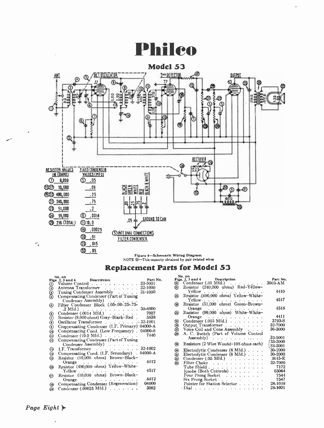## Philco



Figure 4- Schematic Wiring Diagram NOTE O --This capacity obtained by pair twisted wires

### Replacement Parts for Model 53

|         | No. on                                                                                                                                                               | Part No. |
|---------|----------------------------------------------------------------------------------------------------------------------------------------------------------------------|----------|
|         | Figs. 2, 3 and 4 Description                                                                                                                                         | 33-5001  |
|         | Antenna Transformer                                                                                                                                                  | 32-1000  |
|         | Tuning Condenser Assembly                                                                                                                                            | 31-1000  |
|         | (a) Wolume Control<br>(b) Antenna Transformer<br>(b) Tuning Condenser Assembly<br>(b) Compensating Condenser (Part of<br>Compensating Condenser (Part of Tuning      |          |
|         | Condenser Assembly)                                                                                                                                                  |          |
| ◉       | Filter Condenser Block (.05-.09-.25-.75-                                                                                                                             |          |
|         |                                                                                                                                                                      | 30-4000  |
|         | $\begin{tabular}{ll} \bf .2\;Mfd.) & \bf . & \bf . & \bf . & \bf . & \bf . & \bf . \\ \bf Condenseer (.0014\;Mfd.) & \bf . & \bf . & \bf . & \bf . \\ \end{tabular}$ | 7007     |
| 999999  | Resistor (8.000 ohms) Gray-Black-Red . 5838                                                                                                                          |          |
|         | Oscillator Transformer 32-1001                                                                                                                                       |          |
|         | Compensating Condenser (I.F. Primary) 04000-A                                                                                                                        |          |
|         | Compensating Cond. (Low Frequency). 04000-S                                                                                                                          |          |
|         | Condenser $(10.0 \text{ Mfd})$                                                                                                                                       | 7440     |
|         | Compensating Condenser (Part of Tuning                                                                                                                               |          |
|         | Condenser Assembly)                                                                                                                                                  |          |
|         | I.F. Transformer                                                                                                                                                     | 32-1002  |
| 689     | Compensating Cond. (I.F. Secondary) . 04000-A                                                                                                                        |          |
|         | Resistor (10,000 ohms) Brown-Black-                                                                                                                                  |          |
|         | Orange<br>a carrier and carrier and carrier and                                                                                                                      | 4412     |
| ⊛       | Resistor (490,000 ohms) Yellow-White-                                                                                                                                |          |
|         | Yellow                                                                                                                                                               | 4517     |
| $\circ$ | Resistor (10,000 ohms) Brown-Black-                                                                                                                                  |          |
|         | Orange                                                                                                                                                               | 4412     |
| ◉       | Compensating Condenser (Regeneration)                                                                                                                                | 04000    |
| (10)    | Condenser (.00025 Mfd.) $\ldots$ $\ldots$                                                                                                                            | 3082     |

|      | No. on                                                                          |          |
|------|---------------------------------------------------------------------------------|----------|
|      | Figs. 2, 3 and 4 Description                                                    | Part No. |
|      |                                                                                 |          |
|      | (a) Condenser (.01 Mid.) (a) 3903-AM<br>(a) Resistor (240,000 ohms) Red-Yellow- |          |
|      |                                                                                 | 4410     |
| 2    | Yellow .<br>Resistor (490,000 ohms) Yellow-White-                               |          |
|      |                                                                                 | 4517     |
|      | Yellow<br>Resistor (51,000 ohms) Green-Brown-                                   |          |
| ⊛    |                                                                                 |          |
|      | Orange<br>Urange<br>Resistor (99,000 ohms) White-White-                         | 4518     |
| ⊛    |                                                                                 |          |
|      |                                                                                 | 4411     |
|      | Orange<br>Condenser (.015 Mfd.)                                                 | 3793-S   |
| 9999 | Output Transformer                                                              | 32-7000  |
|      |                                                                                 | 36-3000  |
|      | Voice Coil and Cone Assembly                                                    |          |
|      | A. C. Switch (Part of Volume Control                                            |          |
|      | Assembly) $\ldots$ $\ldots$ $\ldots$ $\ldots$                                   | 33-5001  |
|      |                                                                                 | 33-3000  |
| ◉    | Resistors (2 Wire Wound-108 ohms each)                                          | 33-3001  |
|      | Electrolytic Condenser (8 Mfd.)                                                 | 30-2000  |
|      | Electrolytic Condenser (8 Mfd.)                                                 | 30-2000  |
| 0000 | Condenser (.05 Mfd.)                                                            | 3615-E   |
|      | Filter Choke                                                                    | 32-7000  |
|      |                                                                                 | 7172     |
|      | Tube Shield                                                                     |          |
|      | Knobs (Both Controls)                                                           | 03064    |
|      | Four Prong Socket                                                               | 7544     |
|      |                                                                                 | 7547     |
|      | Pointer for Station Selector                                                    | 28-1019  |
|      | . Dial                                                                          | 28-1021  |

 $\omega_{\rm eq}$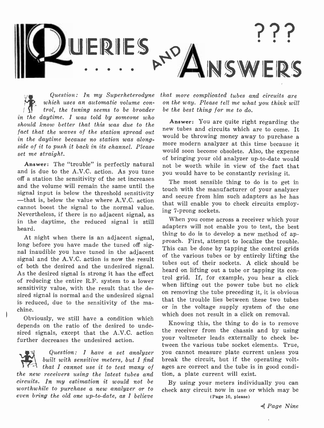

Question: In my Superheterodyne which uses an automatic volume con trol, the tuning seems to be broader in the daytime. I was told by someone who should know better that this was due to the **notice** is not are quite right regarding the fact that the waves of the station spread out in the daytime because no station was alongside of it to push it back in its channel. Please more modern analyzer at this time because it set me straight.

Answer: The "trouble" is perfectly natural and is due to the A.V.C. action. As you tune off a station the sensitivity of the set increases and the volume will remain the same until the signal input is below the threshold sensitivity  $-$ that is, below the value where  $A.V.C.$  action cannot boost the signal to the normal value. Nevertheless, if there is no adjacent signal, as in the daytime, the reduced signal is still heard.

At night when there is an adjacent signal, long before you have made the tuned off signal inaudible you have tuned in the adjacent signal and the A.V.C. action is now the result of both the desired and the undesired signal. As the desired signal is strong it has the effect of reducing the entire R.F. system to a lower sensitivity value, with the result that the desired signal is normal and the undesired signal is reduced, due to the sensitivity of the machine.

Obviously, we still have a condition which depends on the ratio of the desired to undesired signals, except that the A.V.C. action further decreases the undesired action.

Question: I have a set analyzer built with sensitive meters, but I find that I cannot use it to test many of the new receivers using the latest tubes and circuits. In my estimation it would not be worthwhile to purchase a new analyzer or to even bring the old one up-to-date, as I believe

that more complicated tubes and circuits are on the way. Please tell me what you think will be the best thing for me to do.

Answer: You are quite right regarding the would be throwing money away to purchase a would soon become obsolete. Also, the expense of bringing your old analyzer up -to -date would not be worth while in view of the fact that you would have to be constantly revising it.

The most sensible thing to do is to get in touch with the manufacturer of your analyzer and secure from him such adapters as he has that will enable you to check circuits employing 7 -prong sockets.

When you come across a receiver which your adapters will not enable you to test, the best thing to do is to develop a new method of approach. First, attempt to localize the trouble. This can be done by tapping the control grids of the various tubes or by entirely lifting the tubes out of their sockets. A click should be heard on lifting out a tube or tapping its con trol grid. If, for example, you hear a click when lifting out the power tube but no click on removing the tube preceding it, it is obvious that the trouble lies between these two tubes or in the voltage supply system of the one which does not result in a click on removal.

Knowing this, the thing to do is to remove the receiver from the chassis and by using your voltmeter leads externally to check between the various tube socket elements. True, you cannot measure plate current unless you break the circuit, but if the operating voltages are correct and the tube is in good condition, a plate current will exist.

By using your meters individually you can check any circuit now in use or which may be (Page 10, please)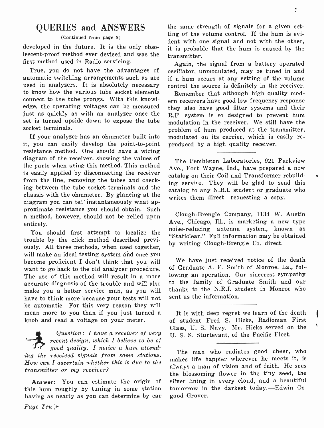### QUERIES and ANSWERS

#### (Continued from page 9)

developed in the future. It is the only obsolescent -proof method ever devised and was the first method used in Radio servicing.

True, you do not have the advantages of automatic switching arrangements such as are used in analyzers. It is absolutely necessary to know how the various tube socket elements connect to the tube prongs. With this knowledge, the operating voltages can be measured just as quickly as with an analyzer once the set is turned upside down to expose the tube socket terminals.

If your analyzer has an ohmmeter built into it, you can easily develop the point-to-point produced by a high quality receiver. resistance method. One should have a wiring diagram of the receiver, showing the values of the parts when using this method. This method is easily applied by disconnecting the receiver from the line, removing the tubes and checking between the tube socket terminals and the chassis with the ohmmeter. By glancing at the diagram you can tell instantaneously what approximate resistance you should obtain. Such a method, however, should not be relied upon entirely.

You should first attempt to localize the trouble by the click method described previously. All three methods, when used together, will make an ideal testing system and once you become proficient I don't think that you will want to go back to the old analyzer procedure. The use of this method will result in a more accurate diagnosis of the trouble and will also make you a better service man, as you will have to think more because your tests will not be automatic. For this very reason they will mean more to you than if you just turned a knob and read a voltage on your meter.

4 Question: I have .a receiver of very recent design, which I believe to be of good quality. I notice a hum attending the received signals from some stations. How can I ascertain whether this'is due to the transmitter or my receiver?

Answer: You can estimate the origin of this hum roughly by tuning in some station having as nearly as you can determine by ear the same strength of signals for a given setting of the volume control. If the hum is evident with one signal and not with the other, it is probable that the hum is caused by the transmitter.

Again, the signal from a battery operated oscillator, unmodulated, may be tuned in and if a hum occurs at any setting of the volume control the source is definitely in the receiver.

Remember that although high quality modern receivers have good low frequency response they also have good filter systems and their R.F. system is so designed to prevent hum modulation in the receiver. We still have the problem of hum produced at the transmitter, modulated on its carrier, which is easily re-

The Pembleton Laboratories, 921 Parkview Ave., Fort Wayne, Ind., have prepared a new catalog on their Coil and Transformer rebuilding service. They will be glad to send this catalog to any N.R.I. student or graduate who writes them direct—requesting a copy.

Clough -Brengle Company, 1134 W. Austin Ave., Chicago, Ill., is marketing a new type noise -reducing antenna system, known as "Staticlear." Full information may be obtained by writing Clough -Brengle Co. direct.

We have just received notice of the death of Graduate A. E. Smith of Monroe, La., following an operation. Our sincerest sympathy to the family of Graduate Smith and our thanks to the N.R.I. student in Monroe who sent us the information.

It is with deep regret we learn of the death of student Fred S. Hicks, Radioman First Class, U. S. Navy. Mr. Hicks served on the U. S. S. Sturtevant, of the Pacific Fleet.

The man who radiates good cheer, who makes life happier wherever be meets it, is always a man of vision and of faith. He sees the blossoming flower in the tiny seed, the silver lining in every cloud, and a beautiful tomorrow in the darkest today.-Edwin Osgood Grover.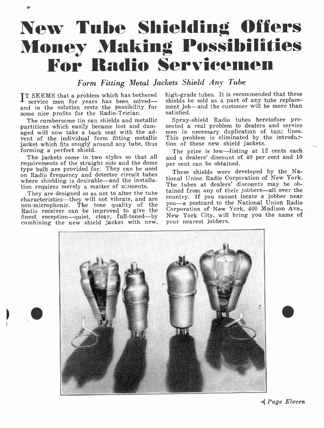## New Tube Shielding Offers **Money Making Possibilities** For Radio Servicemen

Form Fitting Metal Jackets Shield Any Tube

IT SEEMS that a problem which has bothered high-grade tu service men for years has been solved— shields be sol **L** service men for years has been solved—<br>and in the solution rests the possibility for<br>some nice profits for the Radio-Trician.

The cumbersome tin can shields and metallic partitions which easily became lost and damaged will now take a back seat with the advent of the individual form fitting metallic jacket which fits snugly around any tube, thus forming a perfect shield.

The jackets come in two styles so that all requirements of the straight side and the dome on Radio frequency and detector circuit tubes where shielding is desirable-and the installation requires merely a matter of nioments.

They are designed so as not to alter the tube characteristics—they will not vibrate, and are characteristics hey will not vibrate, and are con-<br>non-microphonic. The tone quality of the you Radio receiver can be improved to give the Co finest reception-quiet, clear, full-toned-by combining the new shield jacket with new,

high -grade tubes. It is recommended that these shields be sold as a part of any tube replacement job-and the customer will be more than satisfied.

Spray -shield Radio tubes heretofore presented a real problem to dealers and service men in necessary duplication of tube lines. This problem is eliminated by the introduztion of these new shield jackets.

The price is low-listing at 12 cents each and a dealers' discount of 40 per cent and 10 per cent can be obtained.

These shields were developed by the National Union Radio Corporation of New York. The tubes at dealers' discounts may be obtained from any of their jobbers-all over the country. If you cannot locate a jobber near you -a postcard to the National Union Radio Corporation of New York, 400 Madison Ave., New York City, will bring you the name of your nearest jobbers.



. Page Eleven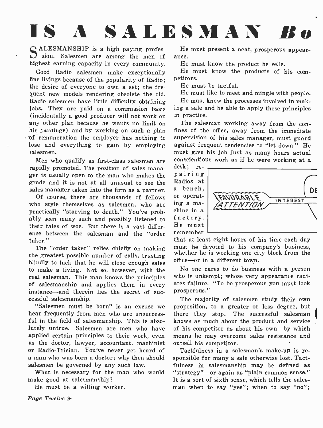## IS A SALESMAN Bo

CALESMANSHIP is a high paying profes- $S$  sion. Salesmen are among the men of ance. highest earning capacity in every community.

Good Radio salesmen make exceptionally He m<br>as livings because of the popularity of Bodio Petitors. fine livings because of the popularity of Radio; the desire of everyone to own a set; the frequent new models rendering obsolete the old. Radio salesmen have little difficulty obtaining jobs. They are paid on a commission basis (incidentally a good producer will not work on any practice.<br>
any other plan because he wants no limit on The salesman working away from the con-<br>
his  $\zeta$  arnings) and by working on such a plan fines of the office, away of remuneration the employer has nothing to lose and everything to gain by employing against frequent tendencies to "let down." He salesmen.

Men who qualify as first-class salesmen are consciention  $\frac{1}{10}$  removed. The position of sales means desk: rerapidly promoted. The position of sales manager is usually open to the man who makes the grade and it is not at all unusual to see the sales manager taken into the firm as a partner.

Of course, there are thousands of fellows  $\overline{or}$  operational style themselves as salesmen, who are  $\overline{or}$  a mawho style themselves as salesmen, who are  $\frac{\text{ing a ma}}{\text{unc}}$ <br>nractically "starving to death". You've nrobe chine in a practically "starving to death." You've probably seen many such and possibly listened to their tales of woe. But there is a vast differ- ence between the salesman and the "order taker."

The "order taker" relies chiefly on making the greatest possible number of calls, trusting blindly to luck that he will close enough sales to make a living. Not so, however, with the real salesman. This man knows the principles of salesmanship and applies them in every instance—and therein lies the secret of suc-<br>cessful salesmanship.

"Salesmen must be born" is an excuse we hear frequently from men who are unsuccess- ful in the field of salesmanship. This is absolutely untrue. Salesmen are men who have applied certain principles to their work, even means he may overcome sales resistance and as the doctor, lawyer, accountant, machinist outsell his competitor. or Radio-Trician. You've never yet heard of a man who was born a doctor; why then should salesmen be governed by any such law.

What is necessary for the man who would make good at salesmanship?

He must be a willing worker.

He must present a neat, prosperous appear-

He must know the product he sells.

He must know the products of his com-

He must be tactful.

He must like to meet and mingle with people.

He must know the processes involved in making a sale and be able to apply these principles in practice.

The salesman working away from the consupervision of his sales manager, must guard must give his job just as many hours actual conscientious work as if he were working at a

pairing Radios at a bench, or operatfactory. He must remember



that at least eight hours of his time each day must be devoted to his company's business, whether he is working one city block from the office -or in a different town.

No one cares to do business with a person who is unkempt; whose very appearance radiates failure. "To be prosperous you must look prosperous."

The majority of salesmen study their own proposition, to a greater or less degree, but there they stop. The successful salesman knows as much about the product and service of his competitor as about his own-by which outsell his competitor.

Tactfulness in a salesman's make-up is responsible for many a sale otherwise lost. Tactfulness in salesmanship may be defined as "strategy"-or again as "plain common sense." It is a sort of sixth sense, which tells the sales man when to say "yes"; when to say "no";

Page Twelve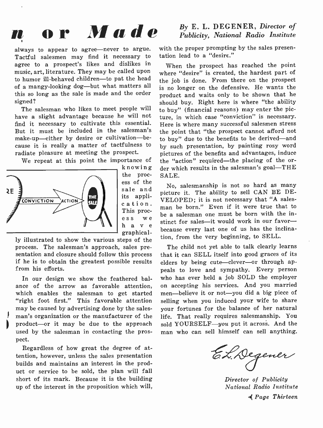## n or Made

always to appear to agree-never to argue. Tactful salesmen may find it necessary to agree to a prospect's likes and dislikes in music, art, literature. They may be called upon to humor ill-behaved children-to pat the head of a mangy-looking dog—but what matters all this so long as the sale is made and the order signed?

The salesman who likes to meet people will have a slight advantage because he will not find it necessary to cultivate this essential. But it must be included in the salesman's make-up-either by desire or cultivation-because it is really a matter of tactfulness to radiate pleasure at meeting the prospect.

We repeat at this point the importance of



the proc ess of the sale and its appli- cation. This process we h a v e graphical-

ly illustrated to show the various steps of the process. The salesman's approach, sales presentation and closure should follow this process if he is to obtain the greatest possible results from his efforts.

In our design we show the feathered bal- ance of the arrow as favorable attention, which enables the salesman to get started "right foot first." This favorable attention may be caused by advertising done by the salesman's organization or the manufacturer of the product-or it may be due to the approach used by the salesman in contacting the prospect.

Regardless of how great the degree of attention, however, unless the sales presentation builds and maintains an interest in the product or service to be sold, the plan will fall short of its mark. Because it is the building up of the interest in the proposition which will,

#### By E. L. DEGENER, Director of Publicity, National Radio Institute

with the proper prompting by the sales presentation lead to a "desire."

When the prospect has reached the point where "desire" is created, the hardest part of the job is done. From there on the prospect is no longer on the defensive. He wants the product and waits only to be shown that he should buy. Right here is where "the ability to buy" (financial reasons) may enter the picture, in which case "conviction" is necessary. Here is where many successful salesmen stress the point that "the prospect cannot afford not to buy" due to the benefits to be derived-and by such presentation, by painting rosy word pictures of the benefits and advantages, induce the "action" required-the placing of the order which results in the salesman's goal-THE SALE.

No, salesmanship is not so hard as many picture it. The ability to sell CAN BE DE-VELOPED; it is not necessary that "A salesman be born." Even if it were true that to be a salesman one must be born with the instinct for sales-it would work in our favorbecause every last one of us has the inclination, from the very beginning, to SELL.

The child not yet able to talk clearly learns that it can SELL itself into good graces of its elders by being cute-clever-or through appeals to love and sympathy. Every person who has ever held a job SOLD the employer on accepting his services. And you married men-believe it or not-you did a big piece of selling when you induced your wife to share your fortunes for the balance of her natural life. That really requires salesmanship. You sold YOURSELF-you put it across. And the man who can sell himself can sell anything.

EL Degener

Director of Publicity National Radio Institute 4( Page Thirteen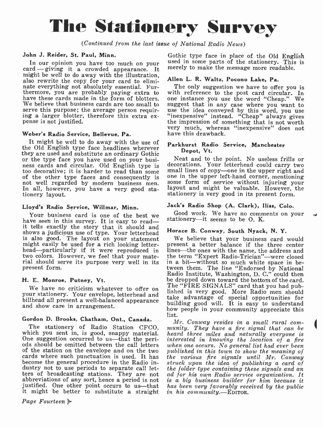## The Stationery Survey

(Continued from the last issue of National Radio News)

#### John J. Reider, St. Paul, Minn.

In our opinion you have too much on your used in some parts of the stationery. This is card - giving it a crowded appearance. It merely to make the message more readable. might be well to do away with the illustration, also rewrite the copy for your card to eliminate everything not absolutely essential. Furnate everything not absolutely essential. Fur-<br>the only suggestion we have to offer you is<br>thermore, you are probably paying extra to with reference to the post card circular. In<br>have these cards made in the form of blotte have these cards made in the form of blotters. one instance you use the word "Cheap." We We believe that business cards are too small to suggest that in any case where you want to We believe that business cards are too small to serve this purpose; the average person requiring a larger blotter, therefore this extra expense is not justified.

#### Weber's Radio Service, Bellevue, Pa.

It might be well to do away with the use of the Old English type face headlines wherever they are used and substitute an ordinary Gothic<br>or the type face you have used on your busi-<br>Neat and to the point. No useless frills or ness cards and circular. Old English type is decorations. Your letterhead could carry two<br>too decorative; it is harder to read than some small lines of copy—one in the upper right and of the other type faces and consequently is one in the upper left-hand corner, mentioning<br>not well regarded by modern business men. Some form of service without injuring your not well regarded by modern business men. In all, however, you have a very good stationery layout.

#### Lloyd's Radio Service, Willmar, Minn.

Your business card is one of the best we stationery—it seems to be O.K.<br>have seen in this survey. It is easy to read— stationery—it seems to be O.K. it tells exactly the story that it should and shows a judicious use of type. Your letterhead is also good. The layout on your statement might easily be used for a rich looking letter-<br>head---particularly if it were reproduced in<br>two colors. However, we feel that your material should serve its purpose very well in its present form.

#### H. E. Monroe, Putney, Vt.

We have no criticism whatever to offer on the find Situation card that you had pub-<br>your stationery. Your envelope, letterhead and the self-self and should meet the function billhead all present a well -balanced appearance and show care in arrangement.

#### Gordon D. Brooks, Chatham, Ont., Canada.

One suggestion occurred to us—that the peri-<br>ods should be omitted between the call letters of the station on the envelope and on the two cards where such punctuation is used. It has the various fire signals until Mr. Conway become the general procedure in the Radio in-<br>struck upon the idea of publishing a card of become the general procedure in the Radio industry not to use periods to separate call letters of broadcasting stations. They are not abbreviations of any sort, hence a period is not justified. One other point occurs to us—that has been very favorably rection it might be better to substitute a straight in his community.—EDITOR. it might be better to substitute a straight

#### Page Fourteen  $\blacktriangleright$

Gothic type face in place of the Old English merely to make the message more readable.

#### Allen L. R. Waltz, Pocono Lake, Pa.

with reference to the post card circular. In use the idea conveyed by this word, you use "inexpensive" instead. "Cheap" always gives the impression of something that is not worth very much, whereas "inexpensive" does not have this drawback.

#### Parkhurst Radio Service, Manchester Depot, Vt.

decorations. Your letterhead could carry two layout and might be valuable. However, the stationery is very good in its present form.

#### Jack's Radio Shop (A. Clark), Iliss, Colo.

Good work. We have no comments on your

#### Horace B. Conway, South Nyack, N. Y.

We believe that your business card would present a better balance if the three center lines—the ones with the name, the address and the term "Expert Radio-Trician"—were closed<br>in a bit—without so much white space in between them. The line "Endorsed by National Radio Institute, Washington, D. C." could then be dropped down toward the bottom of the card. The "FIRE SIGNALS" card that you had pubtake advantage of special opportunities for building good will. It is easy to understand how people in your community appreciate this list.

The stationery of Radio Station CFCO, munity. They have a fire signal that can be which you sent in, is good, snappy material. heard three miles and naturally everyone is Mr. Conway resides in a small rural com- munity. They have a fire signal that can be heard three miles and naturally everyone is interested in knowing the location of a fire when one occurs. No general list had ever been published in this town to show the meaning of the various fire signals until Mr. Conway the folder type containing these signals and an ad for his own Radio service organization. It is a big business builder for him because it has been very favorably received by the public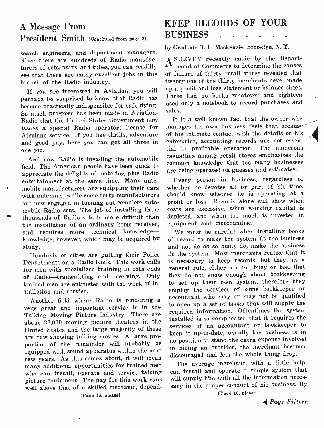## A Message From President Smith (Continued from page 2)

search engineers, and department managers.<br>Since there are hundreds of Radio manufac-  $\triangle$  SURVEY recently made by the Depart-Since there are hundreds of Radio manufacturers of sets, parts, and tubes, you can readilly see that there are many excellent jobs in this branch of the Radio industry.

If you are interested in Aviation, you will perhaps be surprised to know that Radio has become practically indispensible for safe flying. So much progress has been made in Aviation-Radio that the United States Government now issues a special Radio operators license for Airplane service. If you like thrills, adventure and good pay, here you can get all three in one job.

And now Radio is invading the automobile field. The American people have been quick to appreciate the delights of motoring plus Radio entertainment at the same time. Many automobile manufacturers are equipping their cars with antennas, while some forty manufacturers are now engaged in turning out complete automobile Radio sets. The job of installing these thousands of Radio sets is more difficult than the installation of an ordinary home receiver, and requires more technical knowledgeknowledge, however, which may be acquired by study.

Hundreds of cities are putting their Police Departments on a Radio basis. This work calls is necessary to keep records, but they, as a<br>for men with specialized training in both ends general rule, either are too busy or feel that for men with specialized training in both ends of Radio-transmitting and receiving. Only trained men are entrusted with the work of installation and service.

Another field where Radio is rendering a very great and important service is in the Talking Moving Picture industry. There are about 22,000 moving picture theatres in the United States and the large majority of these are now showing talking movies. A large proportion of the remainder will probably be equipped with sound apparatus within the next<br>few years. As this comes about, it will mean few years. As the comes about the instant mean many additional opportunities for trained men The average merchant, with a little help, who can install, operate and service talking can install and operate a simple system th picture equipment. The pay for this work runs well above that of a skilled mechanic, depend-

## KEEP RECORDS OF YOUR **BUSINESS**

by Graduate R. L. Mackenzie, Brooklyn, N. Y.

ASURVEY recently made by the Depart-ment of Commerce to determine the causes of failure of thirty retail stores revealed that twenty -one of the thirty merchants never made up a profit and loss statement or balance sheet. Three had no books whatever and eighteen used only a notebook to record purchases and sales.

It is a well known fact that the owner who manages his own business feels that because of his intimate contact with the details of his enterprise, accounting records are not essen tial to profitable operation. The numerous casualties among retail stores emphasizes the common knowledge that too many businesses are being operated on guesses and estimates.

Every person in business, regardless of whether he devotes all or part of his time, should know whether he is operating at a profit or loss. Records alone will show when costs are excessive, when working capital is depleted, and when too much is invested in equipment and merchandise.

We must be careful when installing books of record to make the system it the business and not do as so many do, make the business fit the system. Most merchants realize that it is necessary to keep records, but they, as a they do not know enough about bookkeeping to set up their own system, therefore they employ the services of some bookkeeper or accountant who may or may not be qualified to open up a set of books that will supply the required information. Oftentimes the system installed is so complicated that it requires the services of an accountant or bookkeeper to keep it up -to -date, usually the business is in no position to stand the extra expense involved in hiring an outsider, the merchant becomes discouraged and lets the whole thing drop.

can install and operate a simple system that will supply him with all the information neces sary in the proper conduct of his business. By

(Page 16, please)

(Page 16. please)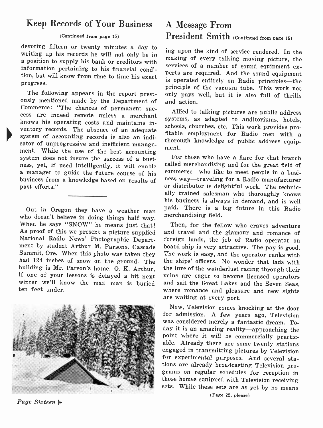### Keep Records of Your Business

#### (Continued from page 15)

devoting fifteen or twenty minutes a day to writing up his records he will not only be in a position to supply his bank or creditors with information pertaining to his financial condition, but will know from time to time his exact perts are required. And the sound equipment progress.

The following appears in the report previ-<br>ously mentioned made by the Department of<br>Commerce: "The chances of permanent success are indeed remote unless a merchant knows his operating costs and maintains inwhows ms operating costs and maintains in-<br>ventory records. The absence of an adequate  $\epsilon_{\text{rel}}$ . system of accounting records is also an indicator of unprogressive and inefficient management. While the use of the best accounting system does not insure the success of a business, yet, if used intelligently, it will enable ness, yet, if used intelligently, it will enable called merchandising and for the great field of<br>a manager to guide the future course of his commerce—who like to meet people in a busi-<br>business from a knowledge hased on re business from a knowledge based on results of ness way—traveling for a Radio manufacturer past efforts." past efforts."

Out in Oregon they have a weather man who doesn't believe in doing things half way. When he says "SNOW" he means just that! National Radio News' Photographic Depart-National Radio News' Photographic Depart-<br>ment by student Arthur M. Parsons, Cascade board ship is very attractive. The pay is good.<br>Summit, Ore. When this photo was taken they The work is easy, and the operator ranks with had 124 inches of snow on the ground. The building is Mr. Parson's home. O. K. Arthur. if one of your lessons is delayed a bit next veins are eager to become licensed operators winter we'll know the mail man is buried ten feet under.



Page Sixteen  $\mathbb{R}$ 

## A Message From President Smith (Continued from page 15)

ing upon the kind of service rendered. In the making of every talking moving picture, the services of a number of sound equipment exis operated entirely on Radio principles-the principle of the vacuum tube. This work not only pays well, but it is also full of thrills and action.

Allied to talking pictures are public address systems, as adapted to auditoriums, hotels, fitable employment for Radio men with a thorough knowledge of public address equipment.

For those who have a flare for that branch commerce--who like to meet people in a busially trained salesman who thoroughly knows his business is always in demand, and is well paid. There is a big future in this Radio merchandising field.

Then, for the fellow who craves adventure and travel and the glamour and romance of board ship is very attractive. The pay is good. the ships' officers. No wonder that lads with the lure of the wanderlust racing through their and sail the Great Lakes and the Seven Seas, where romance and pleasure and new sights are waiting at every port.

Now, Television comes knocking at the door for admission. A few years ago, Television was considered merely a fantastic dream. Today it is an amazing reality-approaching the point where it will be commercially practicable. Already there are some twenty stations engaged in transmitting pictures by Television for experimental purposes. And several stations are already broadcasting Television programs on regular schedules for reception in those homes equipped with Television receiving sets. While these sets are as yet by no means

(Page 22, please)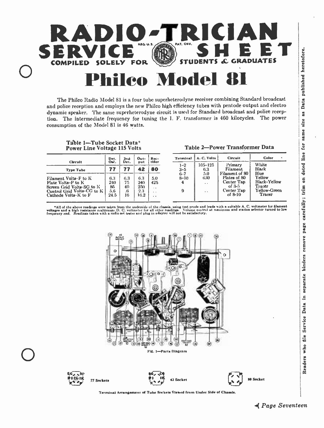

The Philco Radio Model 81 is a four tube superheterodyne receiver combining Standard broadcast dynamic speaker. The same superheterodyne circuit is used for Standard broadcast and police reception. The intermediate frequency for tuning the I. F. transformer is 460 kilocycles. The power consumption of the Model 81 is 46 watts.

#### Table 1-Tube Socket Data\* Power Line Voltage 115 Volts

| Circuit                    | Det. | 2nd  | 0 <sub>ut</sub> | Rec-   |
|----------------------------|------|------|-----------------|--------|
|                            | Oač. | Det. | put             | tifier |
| <b>Type Tube</b>           | 77   | 77   | 42              | 80     |
| Filament Volts-F to K      | 6.3  | 6.3  | 6.3             | 5.0    |
| Plate Volts-P to K         | 240  | 75   | 240             | 425    |
| Sereen Grid Volts-SG to K  | 85   | 40   | 250             | . .    |
| Control Grid Volts-CG to K | 5.6  | .6   | 2.3             | . .    |
| Cathode Volts-K to F       | 24.5 | 16   | 16.2            | . .    |

Table 2-Power Transformer Data

| <b>Terminal</b> | A. C. Volta | Circuit        | Color               |
|-----------------|-------------|----------------|---------------------|
| $1 - 2$         | $105 - 125$ | Primary        | White               |
| $3 - 5$         | 6.3         | Filament       | Black               |
| $6 - 7$         | 5.0         | Filament of 80 | Blue                |
| $8 - 10$        | 630         | Plates of 80   | Yellow              |
| 4               | . .         | Center Tap     | <b>Black-Yellow</b> |
|                 |             | of $3-5$       | Tracer              |
| 9               | . .         | Center Tap     | Yellow-Green        |
|                 |             | of $8-10$      | Tracer              |

\*All of the above readings were taken from the underside of the chassis, using test prods and leads with a suitable A. C. voltmeter for filament<br>voltages and a bigh reastance multirange D. C. voltmeter for shi other readin



Terminal Arrangement of Tube Sockets Viewed from Under Side of Chassis

SO Socket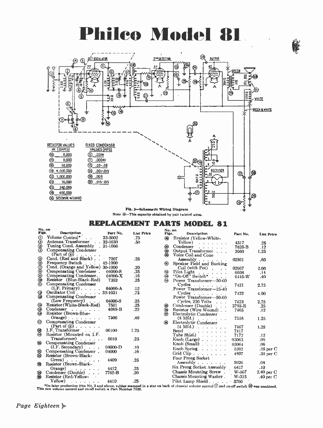## Philco Model 81

ê



Pig. 2- Schematic Wiring Diagram Note @-This capacity obtained by pair twisted wires.

| REPLACEMENT PARTS MODEL 81                                                                                                                                                                                     |                                                                                                                                                                                                                                                                                                                                                                                                                                                                                                                             |             |                   |               |                                                                       |                      |          |                   |
|----------------------------------------------------------------------------------------------------------------------------------------------------------------------------------------------------------------|-----------------------------------------------------------------------------------------------------------------------------------------------------------------------------------------------------------------------------------------------------------------------------------------------------------------------------------------------------------------------------------------------------------------------------------------------------------------------------------------------------------------------------|-------------|-------------------|---------------|-----------------------------------------------------------------------|----------------------|----------|-------------------|
| No. on                                                                                                                                                                                                         |                                                                                                                                                                                                                                                                                                                                                                                                                                                                                                                             |             |                   | No. on        |                                                                       |                      |          |                   |
| Figs.                                                                                                                                                                                                          | Deacription                                                                                                                                                                                                                                                                                                                                                                                                                                                                                                                 | Part No.    | <b>Llat Price</b> | Figs.         | <b>Dexcription</b>                                                    |                      | Part No. | <b>List Price</b> |
| $\odot$ $\odot$                                                                                                                                                                                                | Volume Control*.                                                                                                                                                                                                                                                                                                                                                                                                                                                                                                            | 33-5002     | .75               | ⋒             | Resistor (Yellow-White-                                               |                      |          |                   |
|                                                                                                                                                                                                                | Antenna Transformer . 32-1030                                                                                                                                                                                                                                                                                                                                                                                                                                                                                               |             | .50               |               | Yellow)<br>and a strainer                                             |                      | 4517     | .25               |
|                                                                                                                                                                                                                | Tuning Cond. Assembly . 31-1006                                                                                                                                                                                                                                                                                                                                                                                                                                                                                             |             |                   |               | Condenser<br>and a state of the state                                 |                      | 7625-B   | .12               |
|                                                                                                                                                                                                                | Compensating Condenser<br>(Part of ③)                                                                                                                                                                                                                                                                                                                                                                                                                                                                                       |             |                   | 900           | Output Transformer<br>Voice Coil and Cone                             |                      | 2660     | 1.25              |
|                                                                                                                                                                                                                | Cond. (Red and Black)                                                                                                                                                                                                                                                                                                                                                                                                                                                                                                       | $-7007$     | .25               |               | Assembly $\ldots$ $\ldots$                                            |                      | 02861    | .60               |
|                                                                                                                                                                                                                | Frequency Switch 42-1000                                                                                                                                                                                                                                                                                                                                                                                                                                                                                                    |             |                   | $\circledast$ | Speaker Field and Bucking                                             |                      |          |                   |
| 9999999                                                                                                                                                                                                        | Cond. (Orange and Yellow) 30-1000                                                                                                                                                                                                                                                                                                                                                                                                                                                                                           |             | .20               |               | $Coil$ (with $Pot)$                                                   |                      | 02667    | 2.00              |
|                                                                                                                                                                                                                | Compensating Condenser.                                                                                                                                                                                                                                                                                                                                                                                                                                                                                                     | 04000-S     | .25               |               | Pilot Light<br>the contract of the con-                               |                      | 6608     | .14               |
|                                                                                                                                                                                                                | Compensating Condenser.                                                                                                                                                                                                                                                                                                                                                                                                                                                                                                     | 04000-X     | .16               | ۰۰<br>۵       | "On-Off" Switch" $\ldots$                                             |                      | 6416-W   | .40               |
|                                                                                                                                                                                                                | Resistor (Blue-Black-Red)                                                                                                                                                                                                                                                                                                                                                                                                                                                                                                   | 7352        | .25               |               | Power Transformer-50-60                                               |                      |          |                   |
|                                                                                                                                                                                                                | Compensating Condenser                                                                                                                                                                                                                                                                                                                                                                                                                                                                                                      |             |                   |               | $Cycles$                                                              |                      | 7421     | 2.75              |
|                                                                                                                                                                                                                | $(I.F. Primary)$ . 04000-A                                                                                                                                                                                                                                                                                                                                                                                                                                                                                                  |             | .12               |               | Power Transformer-25-40                                               |                      |          |                   |
|                                                                                                                                                                                                                | Oscillator Coil 32-1031                                                                                                                                                                                                                                                                                                                                                                                                                                                                                                     |             | .75               |               | $Cycles$                                                              |                      | 7422     | 4.00              |
| 8                                                                                                                                                                                                              | Compensating Condenser                                                                                                                                                                                                                                                                                                                                                                                                                                                                                                      |             |                   |               | Power Transformer-50-60                                               |                      |          |                   |
|                                                                                                                                                                                                                | (Low Frequency)                                                                                                                                                                                                                                                                                                                                                                                                                                                                                                             | 04000-S     | .25               |               | Cycles, 250 Volts                                                     | $\sim$ $\sim$ $\sim$ | 7423     | 2.75              |
|                                                                                                                                                                                                                | Resistor (White-Black-Red)                                                                                                                                                                                                                                                                                                                                                                                                                                                                                                  | 7501        | .25               |               | Condenser (Double)                                                    |                      | 3793-R   | .25               |
| 888                                                                                                                                                                                                            | Condenser                                                                                                                                                                                                                                                                                                                                                                                                                                                                                                                   | 4989-B      | .22               | 908           | Resistor (Wire Wound)                                                 |                      | 7465     |                   |
|                                                                                                                                                                                                                | Resistor (Brown-Blue-                                                                                                                                                                                                                                                                                                                                                                                                                                                                                                       |             |                   |               | Electrolytic Condenser                                                |                      |          | .12               |
|                                                                                                                                                                                                                | $0$ range $) \cdot \cdot \cdot \cdot \cdot$                                                                                                                                                                                                                                                                                                                                                                                                                                                                                 | 7500        | .40               |               |                                                                       |                      | 7558     | 1.25              |
| ଊ                                                                                                                                                                                                              | <b>Compensating Condenser</b>                                                                                                                                                                                                                                                                                                                                                                                                                                                                                               |             |                   | இ             | $(8 \text{ Mfd.})$<br>Electrolytic Condenser                          |                      |          |                   |
|                                                                                                                                                                                                                | (Part of ③)                                                                                                                                                                                                                                                                                                                                                                                                                                                                                                                 |             |                   |               |                                                                       |                      |          |                   |
|                                                                                                                                                                                                                | I.F. Transformer                                                                                                                                                                                                                                                                                                                                                                                                                                                                                                            | 06100       | 1.25              |               | $(4 \text{ Mfd.}) \cdot \cdot \cdot \cdot \cdot \cdot \cdot$<br>Bezel |                      | 7467     | 1.25              |
| 8                                                                                                                                                                                                              | Resistor (Mounted on I.F.                                                                                                                                                                                                                                                                                                                                                                                                                                                                                                   |             |                   |               | and the state of the state                                            |                      | 7417     |                   |
|                                                                                                                                                                                                                | Transformer)                                                                                                                                                                                                                                                                                                                                                                                                                                                                                                                | 6010        | .25               |               | Tube Shield                                                           |                      | 7172     | .12               |
| ∞                                                                                                                                                                                                              | Compensating Condenser                                                                                                                                                                                                                                                                                                                                                                                                                                                                                                      |             |                   |               | $\text{Knob}$ (Large) $\ldots$ $\ldots$                               |                      | 03063    | .08               |
|                                                                                                                                                                                                                | $(I.F.$ Secondary $\big)$                                                                                                                                                                                                                                                                                                                                                                                                                                                                                                   | $04000 - D$ | .10.              |               | Knob (Small)                                                          |                      | 03064    | .06               |
|                                                                                                                                                                                                                | Compensating Condenser.                                                                                                                                                                                                                                                                                                                                                                                                                                                                                                     | 04000       | $.16 -$           |               | Knob Spring.                                                          |                      | 5262     | $.35$ per $C$     |
| 8                                                                                                                                                                                                              |                                                                                                                                                                                                                                                                                                                                                                                                                                                                                                                             |             |                   |               | Grid Clip $\ldots$ , $\ldots$ , $\ldots$                              |                      | 4897     | $.30$ per $C$     |
|                                                                                                                                                                                                                | Resistor (Brown-Black-                                                                                                                                                                                                                                                                                                                                                                                                                                                                                                      |             |                   |               | Four Prong Socket                                                     |                      |          |                   |
|                                                                                                                                                                                                                | Green) $\ldots$ $\ldots$ $\ldots$                                                                                                                                                                                                                                                                                                                                                                                                                                                                                           | 4409        | .25               |               | Assembly $\ldots$ , $\ldots$                                          |                      | 5026     | .08               |
| ☜                                                                                                                                                                                                              | Resistor (Brown-Black-                                                                                                                                                                                                                                                                                                                                                                                                                                                                                                      |             |                   |               | Six Prong Socket Assembly                                             |                      | 6417     | .10.              |
|                                                                                                                                                                                                                | Orange) $\ldots$ .<br>$\cdot$ $\cdot$                                                                                                                                                                                                                                                                                                                                                                                                                                                                                       | 4412        | .25               |               | Chassis Mounting Screw.                                               |                      | W-567    |                   |
| 8                                                                                                                                                                                                              | Condenser (Double) $\ldots$                                                                                                                                                                                                                                                                                                                                                                                                                                                                                                 | 7762-B      | .20 <sub>0</sub>  |               |                                                                       |                      |          | $2.40$ per C      |
|                                                                                                                                                                                                                | Resistor (Red-Yellow-                                                                                                                                                                                                                                                                                                                                                                                                                                                                                                       |             |                   |               | Chassis Mounting Washer. W-315                                        |                      |          | .40 per $C$       |
|                                                                                                                                                                                                                | Yellow)<br>$\mathbf{1} \times \mathbf{1} \times \mathbf{1} \times \mathbf{1} \times \mathbf{1} \times \mathbf{1} \times \mathbf{1} \times \mathbf{1} \times \mathbf{1} \times \mathbf{1} \times \mathbf{1} \times \mathbf{1} \times \mathbf{1} \times \mathbf{1} \times \mathbf{1} \times \mathbf{1} \times \mathbf{1} \times \mathbf{1} \times \mathbf{1} \times \mathbf{1} \times \mathbf{1} \times \mathbf{1} \times \mathbf{1} \times \mathbf{1} \times \mathbf{1} \times \mathbf{1} \times \mathbf{1} \times \mathbf{$ | 4410        | .25               |               | Pilot Lamp Shield. 5760                                               |                      |          |                   |
| *On later production (run No. 3 and above, rubber stamped in a star on back of chassis) volume control 1 and on-off switch (2) was combined.<br>This new volume control and on-off ewitch is Part Number 7439. |                                                                                                                                                                                                                                                                                                                                                                                                                                                                                                                             |             |                   |               |                                                                       |                      |          |                   |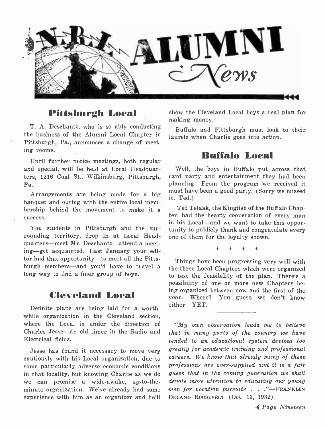

### Pittsburgh Local

T. A. Deschantz, who is so ably conducting the business of the Alumni Local Chapter in Pittsburgh, Pa., announces a change of meeting rooms.

Until further notice meetings, both regular and special, will be held at Local Headquarters, 1216 Coal St., Wilkinsburg, Pittsburgh, Pa.

Arrangements are being made for a big banquet and outing with the entire local mem bership behind the movement to make it a success.<br>You students in Pittsburgh and the sur-

rounding territory, drop in at Local Headquarters—meet Mr. Deschantz—attend a meeting-get acquainted. Last January your editor had that opportunity-to meet all the Pittsburgh members—and you'd have to travel a long way to find a finer group of boys.

## Cleveland Local

Definite plans are being laid for a worthwhile organization in the Cleveland section, where the Local is under the direction of Charles Jesse-an old timer in the Radio and Electrical fields.

Jesse has found it necessary to move very cautiously with his Local organization, due to some particularly adverse economic conditions in that locality, but knowing Charlie as we do we can promise a wide-awake, up-to-theminute organization. We've already had some experience with him as an organizer and he'll

show the Cleveland Local boys a real plan for making money.

Buffalo and Pittsburgh must look to their laurels when Charlie goes into action.

### Buffalo Local

Well, the boys in Buffalo put across that card party and entertainment they had been planning. From the program we received it must have been a good party. (Sorry we missed it, Ted.)

Ted Telaak, the Kingfish of the Buffalo Chapter, had the hearty cooperation of every man<br>in his Local—and we want to take this opportunity to publicly thank and congratulate every one of them for the loyalty shown.

\* \* \*

Things have been progressing very well with the three Local Chapters which were organized to test the feasibility of the plan. There's a possibility of one or more new Chapters being organized between now and the first of the year. Where? You guess-we don't know  $either = YET$ .

"My own observation leads me to believe that in many parts of the country we have tended to an educational system devised too greatly for academic training and professional careers. We know that already many of these professions are over -supplied and it is a fair guess that in the coming generation we shall devote more attention to educating our young<br>men for vocation pursuits . . ."---FRANKLIN DELANO ROOSEVELT (Oct. 13, 1932).

.4 Page Nineteen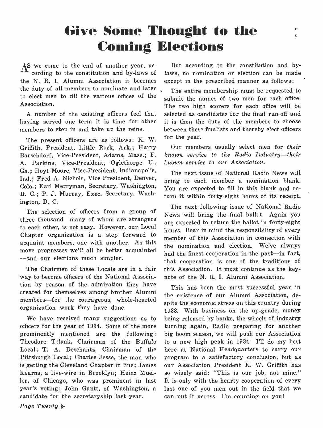## Give Some Thought to the Coming Elections

 $A<sup>S</sup>$  we come to the end of another year, ac-<br>cording to the constitution and by-laws of the N. R. I. Alumni Association it becomes the duty of all members to nominate and later to elect men to fill the various offices of the Association.

A number of the existing officers feel that having served one term it is time for other members to step in and take up the reins.

The present officers are as follows: K. W. Griffith, President, Little Rock, Ark.; Harry Barschdorf, Vice -President, Adams, Mass.; F. A. Parkins, Vice -President, Oglethorpe U., Ga.; Hoyt Moore, Vice -President, Indianapolis, Ind.; Fred A. Nichols, Vice -President, Denver, Colo.; Earl Merryman, Secretary, Washington, D. C.; P. J. Murray, Exec. Secretary, Washington, D. C.

The selection of officers from a group of three thousand—many of whom are strangers to each other, is not easy. However, our Local Chapter organization is a step forward to acquaint members, one with another. As this move progresses we'll, all be better acquainted - -and our elections much simpler.

The Chairmen of these Locals are in a fair way to become officers of the National Association by reason of the admiration they have created for themselves among brother Alumni members-for the courageous, whole-hearted organization work they have done.

We have received many suggestions as to officers for the year of 1934. Some of the more prominently mentioned are the following: Theodore Telaak, Chairman of the Buffalo Local; T. A. Deschantz, Chairman of the Pittsburgh Local; Charles Jesse, the man who is getting the Cleveland Chapter in line; James Kearns, a live -wire in Brooklyn; Heinz Mueller, of Chicago, who was prominent in last year's voting; John Gantt, of Washington, a candidate for the secretaryship last year.

But according to the constitution and bylaws, no nomination or election can be made except in the prescribed manner as follows:

The entire membership must be requested to submit the names of two men for each office. The two high scorers for each office will be selected as candidates for the final run-off and it is then the duty of the members to choose between these finalists and thereby elect officers for the year.

Our members usually select men for their known service to the Radio Industry-their known service to our Association.

The next issue of National Radio News will bring to each member a nomination blank. You are expected to fill in this blank and return it within forty -eight hours of its receipt.

The next following issue of National Radio News will bring the final ballot. Again you are expected to return the ballot in forty -eight hours. Bear in mind the responsibility of every member of this Association in connection with the nomination and election. We've always had the finest cooperation in the past-in fact, that cooperation is one of the traditions of this Association. It must continue as the keynote of the N. R. I. Alumni Association.

This has been the most successful year in the existence of our Alumni Association, despite the economic stress on this country during 1933. With business on the up-grade, money being released by banks, the wheels of industry turning again, Radio preparing for another big boom season, we will push our Association to a new high peak in 1934. I'll do my best here at National Headquarters to carry our program to a satisfactory conclusion, but as our Association President K. W. Griffith has so wisely said: "This is our job, not mine." It is only with the hearty cooperation of every last one of you men out in the field that we can put it across. I'm counting on you!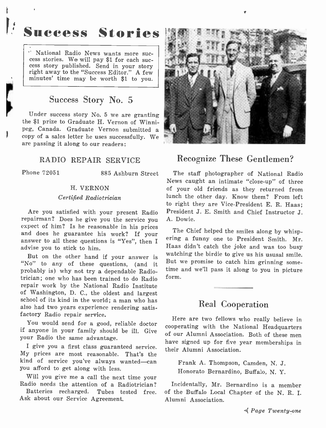## Success Stories

National Radio News wants more suc- cess stories. We will pay \$1 for each suc- cess story published. Send in your story right away to the "Success Editor." A few minutes' time may be worth \$1 to you.

## Success Story No. 5

Under success story No. 5 we are granting the \$1 prize to Graduate H. Vernon of Winni-<br>peg, Canada. Graduate Vernon submitted a copy of a sales letter he uses successfully. We are passing it along to our readers:

#### RADIO REPAIR SERVICE

Phone 72051 885 Ashburn Street

#### H. VERNON

#### Certified Radiotrician

Are you satisfied with your present Radio repairman? Does he give you the service you and does he guarantee his work? If your answer to all these questions is "Yes", then I advise you to stick to him.

But on the other hand if your answer is "No" to any of these questions, (and it probably is) why not try a dependable Radiotrician; one who has been trained to do Radio repair work by the National Radio Institute of Washington, D. C., the oldest and largest school of its kind in the world; a man who has also had two years experience rendering satisfactory Radio repair service.

You would send for a good, reliable doctor if anyone in your family should be ill. Give your Radio the same advantage.

My prices are most reasonable. That's the kind of service you've always wanted-can you afford to get along with less.

Will you give me a call the next time your Radio needs the attention of a Radiotrician?

Batteries recharged. Tubes tested free. Ask about our Service Agreement.



### Recognize These Gentlemen?

The staff photographer of National Radio News caught an intimate "close-up" of three of your old friends as they returned from lunch the other day. Know them? From left to right they are Vice -President E. R. Haas; President J. E. Smith and Chief Instructor J. A. Dowie.

The Chief helped the smiles along by whispering a funny one to President Smith. Mr. Haas didn't catch the joke and was too busy watching the birdie to give us his ususal smile. But we promise to catch him grinning some time and we'll pass it along to you in picture form.

### Real Cooperation

I give you a first class guaranteed service.  $\mu_{\text{min}}$  Alumni Aggression Here are two fellows who really believe in cooperating with the National Headquarters of our Alumni Association. Both of these men their Alumni Association.

> Frank A. Thompson, Camden, N. J. Honorato Bernardino, Buffalo, N. Y.

Incidentally, Mr. Bernardino is a member of the Buffalo Local Chapter of the N. R. I. Alumni Association.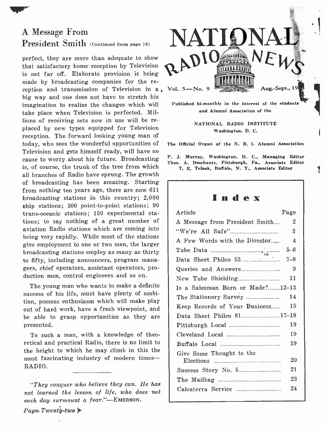## A Message From President Smith (Continued from page 16)

perfect, they are more than adequate to show that satisfactory home reception by Television is not far off. Elaborate provision is being made by broadcasting companies for the re-<br>ception and transmission of Television in a big way and one does not have to stretch his imagination to realize the changes which will take place when Television is perfected. Millions of receiving sets now in use will be replaced by new types equipped for Television reception. The forward looking young man of today, who sees the wonderful opportunities of Television and gets himself ready, will have no cause to worry about his future. Broadcasting is, of course, the trunk of the tree from which all branches of Radio have sprung. The growth of broadcasting has been amazing. Starting from nothing ten years ago, there are now 611 broadcasting stations in this country; 2,000 ship stations; 300 point -to -point stations; 90 trans- oceanic stations; 150 experimental stations; to say nothing of a great number of aviation Radio stations which are coming into being very rapidly. While most of the stations give employment to one or two men, the larger broadcasting stations employ as many as thirty to fifty, including announcers, program managers, chief operators, assistant operators, production men, control engineers and so on.

The young man who wants to make a definite success of his life, must have plenty of ambition, possess enthusiasm which will make play out of hard work, have a fresh viewpoint, and be able to grasp opportunities as they are presented.

To such a man, with a knowledge of theoretical and practical Radio, there is no limit to the height to which he may climb in this the most fascinating industry of modern times-RADIO.



Published bi-monthly in the interest of the students and Alumni Association of the

> NATIONAL RADIO INSTITUTE Washington, D. C.

The Official Organ of the N. R. I. Alumni Association

P. J. Murray, Washington, D. C., Managing Editor Thos. A. Deschantz, Pittsburgh, Pa., Associate Editor T. E. Telaak, Buffalo, N. Y., Associate Editor

Į

Index

| Page<br>Article                  |                |  |  |  |
|----------------------------------|----------------|--|--|--|
| A Message from President Smith   | $\overline{2}$ |  |  |  |
|                                  | $\mathbf{3}$   |  |  |  |
| A Few Words with the Director    | $\overline{4}$ |  |  |  |
|                                  |                |  |  |  |
|                                  |                |  |  |  |
|                                  | 9              |  |  |  |
|                                  | 11             |  |  |  |
| Is a Salesman Born or Made?12-13 |                |  |  |  |
| The Stationery Survey            | 14             |  |  |  |
| Keep Records of Your Business    | 15             |  |  |  |
| Data Sheet Philco 8117-18        |                |  |  |  |
|                                  | 19             |  |  |  |
|                                  | 19             |  |  |  |
|                                  | 19             |  |  |  |
| Give Some Thought to the         |                |  |  |  |
|                                  | 20             |  |  |  |
|                                  | 21             |  |  |  |
|                                  | 23             |  |  |  |
|                                  | 24             |  |  |  |
|                                  |                |  |  |  |

<sup>&</sup>quot;They conquer who believe they can. He has not learned the lesson of life, who does not each day surmount a fear."-EMERSON.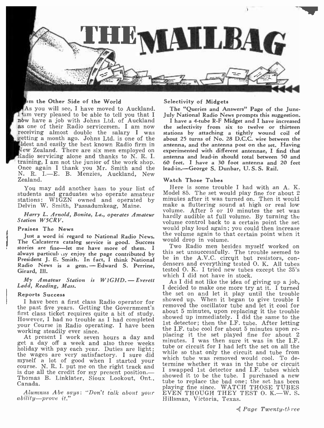

#### in the Other Side of the World

As you will see, I have moved to Auckland. The "Queries and Answers" Page of the June-<br>I am very pleased to be able to tell you that I July National Radio News prompts this suggestion. nbw have a job with Johns Ltd. of Auckland as one of their Radio servicemen. I am now the selectivity from six to twelve or thirteen<br>receiving almost double the salary I was tations by attaching a tightly wound coil of<br>retting a month ago. Johns Ltd. is one of the Idew Zealand. There are six men employed on Radio servicing alone and thanks to N. R. I.<br>training, I am not the junior of the work shop. Once again I thank you Mr. Smith and the N. R. I.-E. B. Menzies, Auckland, New Zealand.

You may add another ham to your list of students and graduates who operate amateur stations: W1GZN owned and operated by Delvin W. Smith, Passadumkeag, Maine.

Harry L. Arnold, Bonita, La., operates Amateur Station W5CRV.

#### Praises The News

Just a word in regard to National Radio News. The Calcaterra catalog service is good. Success stories are fine—let me have more of them. I Two Radio men besides myself worked on<br>always particule up enjoy the page contributed by this set unsuccessfully. The trouble seemed to President J. E. Smith. In fact, I think National be in the A.V.C. circuit but resistors, con-Radio News is a gem. - Edward S. Perrine, Girard, Ill.

Girard, Ill.<br> *My Amateur Station is W1GHD.* - Everett wh<br>
Ladd, Reading, Mass. [10]

#### Reports Success

I have been a first class Radio operator for the past five years. Getting the Government's<br>first class ticket requires quite a bit of study. However, I had no trouble as I had completed your Course in Radio operating. I have been that is detector, then the LF, tube, After letting<br>working stoodily over since working steadily ever since.

At present I work seven hours a day and get a day off a week and also three weeks holiday with pay each year. Duties are light; the wages are very satisfactory. I sure did myself a lot of good when I started your course. N. R. I. put me on the right track and is due all the credit for my present position. course. N. R. I. put me on the right track and termine whether it was in the tube or circuit<br>is due all the credit for my present position. - I swapped 1st detector and I.F. tubes which<br>Thomas B. Jipliatan Sioury Leelport Thomas B. Linklater, Sioux Lookout, Ont., Canada.

Alumnus Abe says: "Don't talk about your ability-prove it."

#### Selectivity of Midgets

The "Queries and Answers" Page of the June-

I have a 4 -tube R -F Midget and I have increased the selectivity from six to twelve or thirteen stations by attaching a tightly wound coil of about 25 turns of No. 28 D.C.C. wire between the experimented with different antennae, I find that antenna and lead-in should total between 50 and 60 feet. I have a 30 foot antenna and 20 feet lead-in.-George S. Dunbar, U.S.S. Rail.

#### Watch Those Tubes

Here is some trouble I had with an A. K. Model 85. The set would play fine for about 2 minutes after it was turned on. Then it would make a fluttering sound at high or real low volume. After 5 or 10 minutes the set was hardly audible at full volume. By turning the volume control back to a certain point the set would play loud again; you could then increase the volume again to that certain point when it would drop in volume.

this set unsuccessfully. The trouble seemed to densers and everything tested  $O$ . K. All tubes tested O. K. I tried new tubes except the 35's which I did not have in stock.

As I did not like the idea of giving up a job, I decided to make one more try at it. I turned the set on and let it play until the trouble showed up. When it began to give trouble I removed the oscillator tube and let it cool for about 5 minutes, upon replacing it the trouble showed up immediately. I did the same to the 1st detector; then the I.F. tube. After letting placing it the set played fine for about 2 minutes. I was then sure it was in the I.F. tube or circuit for I had left the set on all the while so that only the circuit and tube from which tube was removed would cool. To determine whether it was in the tube or circuit I swapped 1st detector and I.F. tubes which tube to replace the bad one; the set has been playing fine since. WATCH THOSE TUBES<br>EVEN THOUGH THEY TEST O. K.—W. S. Hillsman, Victoria, Texas.